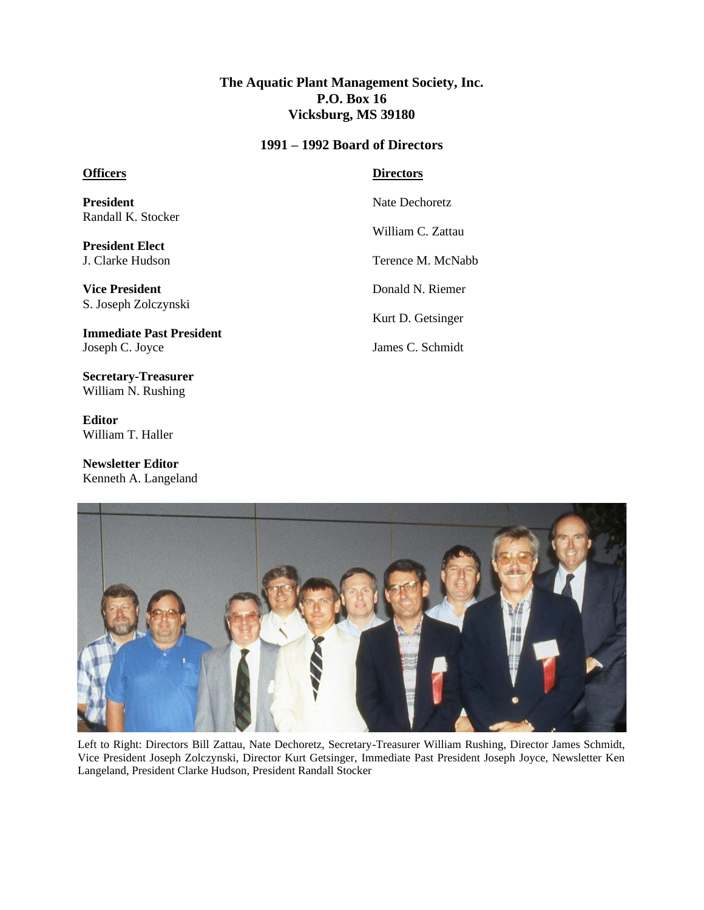## **The Aquatic Plant Management Society, Inc. P.O. Box 16 Vicksburg, MS 39180**

#### **1991 – 1992 Board of Directors**

### **Officers**

**President** Randall K. Stocker

**President Elect** J. Clarke Hudson

**Vice President** S. Joseph Zolczynski

**Immediate Past President** Joseph C. Joyce

**Secretary-Treasurer** William N. Rushing

**Editor** William T. Haller

**Newsletter Editor** Kenneth A. Langeland

### **Directors**

Nate Dechoretz

William C. Zattau

Terence M. McNabb

Donald N. Riemer

Kurt D. Getsinger

James C. Schmidt



Left to Right: Directors Bill Zattau, Nate Dechoretz, Secretary-Treasurer William Rushing, Director James Schmidt, Vice President Joseph Zolczynski, Director Kurt Getsinger, Immediate Past President Joseph Joyce, Newsletter Ken Langeland, President Clarke Hudson, President Randall Stocker